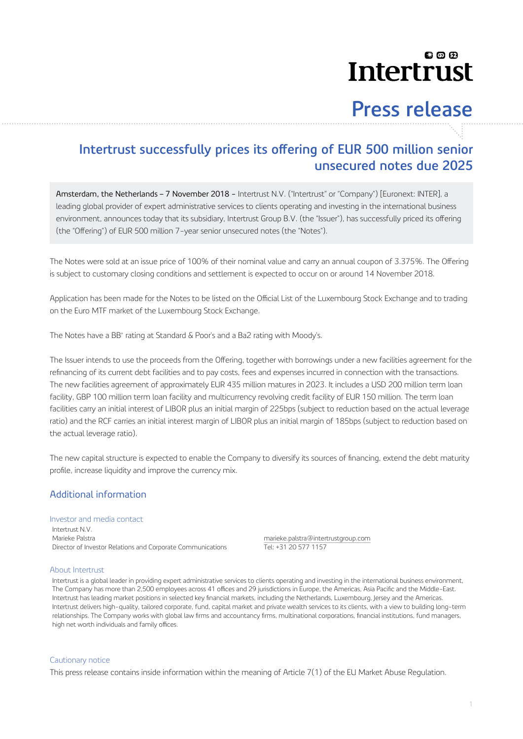## லை **Intertrust**

# **Press release**

### Intertrust successfully prices its offering of EUR 500 million senior **unsecured notes due 2025**

Amsterdam, the Netherlands – 7 November 2018 - Intertrust N.V. ("Intertrust" or "Company") [Euronext: INTER], a leading global provider of expert administrative services to clients operating and investing in the international business environment, announces today that its subsidiary, Intertrust Group B.V. (the "Issuer"), has successfully priced its offering (the "Offering" of EUR 500 million 7-year senior unsecured notes (the "Notes").

The Notes were sold at an issue price of 100% of their nominal value and carry an annual coupon of 3.375%. The Offering is subject to customary closing conditions and settlement is expected to occur on or around 14 November 2018.

Application has been made for the Notes to be listed on the Official List of the Luxembourg Stock Exchange and to trading on the Euro MTF market of the Luxembourg Stock Exchange.

The Notes have a BB+ rating at Standard & Poor's and a Ba2 rating with Moody's.

The Issuer intends to use the proceeds from the Offering, together with borrowings under a new facilities agreement for the refinancing of its current debt facilities and to pay costs, fees and expenses incurred in connection with the transactions. The new facilities agreement of approximately EUR 435 million matures in 2023. It includes a USD 200 million term loan facility, GBP 100 million term loan facility and multicurrency revolving credit facility of EUR 150 million. The term loan facilities carry an initial interest of LIBOR plus an initial margin of 225bps (subject to reduction based on the actual leverage ratio) and the RCF carries an initial interest margin of LIBOR plus an initial margin of 185bps (subject to reduction based on the actual leverage ratio).

The new capital structure is expected to enable the Company to diversify its sources of financing, extend the debt maturity profile, increase liquidity and improve the currency mix.

### Additional information

#### Investor and media contact

Intertrust N.V. Marieke Palstra marieke.palstra@intertrustgroup.com Director of Investor Relations and Corporate Communications Tel: +31 20 577 1157

#### About Intertrust

Intertrust is a global leader in providing expert administrative services to clients operating and investing in the international business environment, The Company has more than 2,500 employees across 41 offices and 29 jurisdictions in Europe, the Americas, Asia Pacific and the Middle-East. Intertrust has leading market positions in selected key financial markets, including the Netherlands, Luxembourg, Jersey and the Americas. Intertrust delivers high-quality, tailored corporate, fund, capital market and private wealth services to its clients, with a view to building long-term relationships. The Company works with global law firms and accountancy firms, multinational corporations, financial institutions, fund managers, high net worth individuals and family offices

#### Cautionary notice

This press release contains inside information within the meaning of Article 7(1) of the EU Market Abuse Regulation.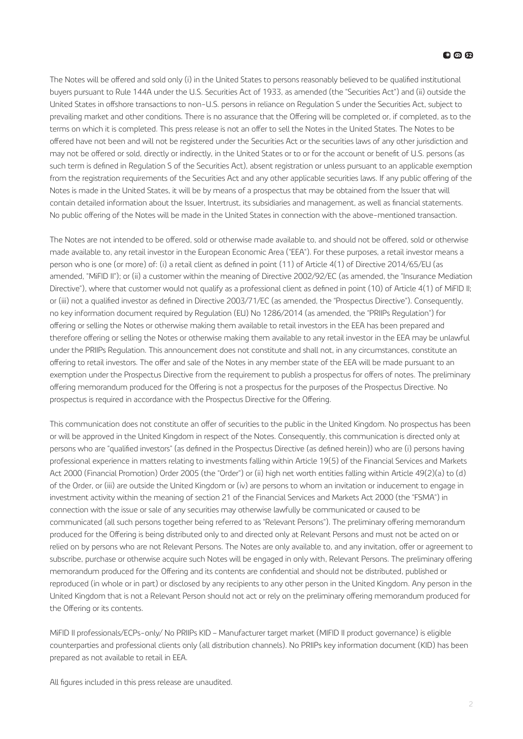The Notes will be offered and sold only (i) in the United States to persons reasonably believed to be qualified institutional buyers pursuant to Rule 144A under the U.S. Securities Act of 1933, as amended (the "Securities Act") and (ii) outside the United States in offshore transactions to non-U.S. persons in reliance on Regulation S under the Securities Act, subject to prevailing market and other conditions. There is no assurance that the Offering will be completed or, if completed, as to the terms on which it is completed. This press release is not an offer to sell the Notes in the United States. The Notes to be offered have not been and will not be registered under the Securities Act or the securities laws of any other jurisdiction and may not be offered or sold, directly or indirectly, in the United States or to or for the account or benefit of U.S. persons (as such term is defined in Regulation S of the Securities Act), absent registration or unless pursuant to an applicable exemption from the registration requirements of the Securities Act and any other applicable securities laws. If any public offering of the Notes is made in the United States, it will be by means of a prospectus that may be obtained from the Issuer that will contain detailed information about the Issuer, Intertrust, its subsidiaries and management, as well as financial statements. No public offering of the Notes will be made in the United States in connection with the above-mentioned transaction.

The Notes are not intended to be offered sold or otherwise made available to, and should not be offered sold or otherwise made available to, any retail investor in the European Economic Area ("EEA"). For these purposes, a retail investor means a person who is one (or more) of: (i) a retail client as defined in point (11) of Article 4(1) of Directive 2014/65/EU (as amended, "MiFID II"); or (ii) a customer within the meaning of Directive 2002/92/EC (as amended, the "Insurance Mediation Directive"), where that customer would not qualify as a professional client as defined in point (10) of Article 4(1) of MiFID II; or (iii) not a qualified investor as defined in Directive 2003/71/EC (as amended, the "Prospectus Directive"). Consequently, no key information document required by Regulation (EU) No 1286/2014 (as amended, the "PRIIPs Regulation") for offering or selling the Notes or otherwise making them available to retail investors in the EEA has been prepared and therefore offering or selling the Notes or otherwise making them available to any retail investor in the EEA may be unlawful under the PRIIPs Regulation. This announcement does not constitute and shall not, in any circumstances, constitute an offering to retail investors. The offer and sale of the Notes in any member state of the EEA will be made pursuant to an exemption under the Prospectus Directive from the requirement to publish a prospectus for offers of notes. The preliminary offering memorandum produced for the Offering is not a prospectus for the purposes of the Prospectus Directive. No prospectus is required in accordance with the Prospectus Directive for the Offering

This communication does not constitute an offer of securities to the public in the United Kingdom. No prospectus has been or will be approved in the United Kingdom in respect of the Notes. Consequently, this communication is directed only at persons who are "qualified investors" (as defined in the Prospectus Directive (as defined herein)) who are (i) persons having professional experience in matters relating to investments falling within Article 19(5) of the Financial Services and Markets Act 2000 (Financial Promotion) Order 2005 (the "Order") or (ii) high net worth entities falling within Article 49(2)(a) to (d) of the Order, or (iii) are outside the United Kingdom or (iv) are persons to whom an invitation or inducement to engage in investment activity within the meaning of section 21 of the Financial Services and Markets Act 2000 (the "FSMA") in connection with the issue or sale of any securities may otherwise lawfully be communicated or caused to be communicated (all such persons together being referred to as "Relevant Persons"). The preliminary offering memorandum produced for the Offering is being distributed only to and directed only at Relevant Persons and must not be acted on or relied on by persons who are not Relevant Persons. The Notes are only available to, and any invitation, offer or agreement to subscribe, purchase or otherwise acquire such Notes will be engaged in only with, Relevant Persons. The preliminary offering memorandum produced for the Offering and its contents are confidential and should not be distributed, published or reproduced (in whole or in part) or disclosed by any recipients to any other person in the United Kingdom. Any person in the United Kingdom that is not a Relevant Person should not act or rely on the preliminary offering memorandum produced for the Offering or its contents.

MiFID II professionals/ECPs-only/ No PRIIPs KID – Manufacturer target market (MIFID II product governance) is eligible counterparties and professional clients only (all distribution channels). No PRIIPs key information document (KID) has been prepared as not available to retail in EEA.

All figures included in this press release are unaudited.